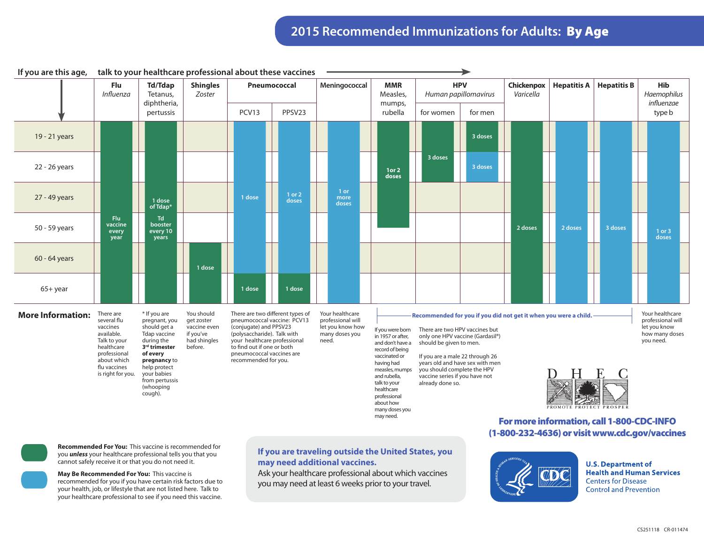

## **If you are this age, talk to your healthcare professional about these vaccines**

**Recommended For You:** This vaccine is recommended for you *unless* your healthcare professional tells you that you cannot safely receive it or that you do not need it.

**May Be Recommended For You:** This vaccine is recommended for you if you have certain risk factors due to your health, job, or lifestyle that are not listed here. Talk to your healthcare professional to see if you need this vaccine.

## **If you are traveling outside the United States, you may need additional vaccines.**

Ask your healthcare professional about which vaccines you may need at least 6 weeks prior to your travel.



**U.S. Department of Health and Human Services Centers for Disease Control and Prevention**